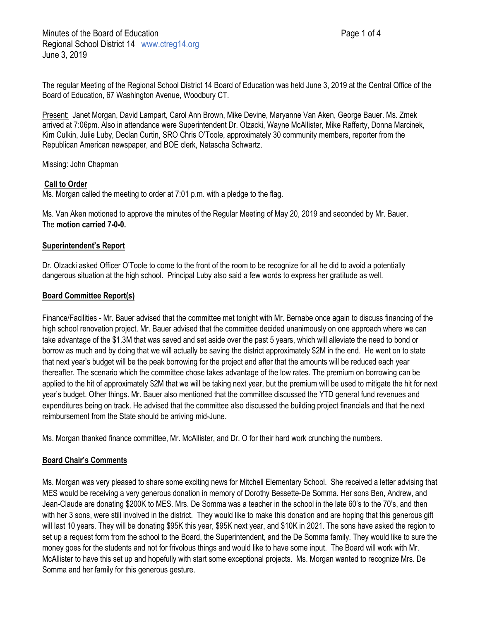The regular Meeting of the Regional School District 14 Board of Education was held June 3, 2019 at the Central Office of the Board of Education, 67 Washington Avenue, Woodbury CT.

Present: Janet Morgan, David Lampart, Carol Ann Brown, Mike Devine, Maryanne Van Aken, George Bauer. Ms. Zmek arrived at 7:06pm. Also in attendance were Superintendent Dr. Olzacki, Wayne McAllister, Mike Rafferty, Donna Marcinek, Kim Culkin, Julie Luby, Declan Curtin, SRO Chris O'Toole, approximately 30 community members, reporter from the Republican American newspaper, and BOE clerk, Natascha Schwartz.

Missing: John Chapman

# **Call to Order**

Ms. Morgan called the meeting to order at 7:01 p.m. with a pledge to the flag.

Ms. Van Aken motioned to approve the minutes of the Regular Meeting of May 20, 2019 and seconded by Mr. Bauer. The **motion carried 7-0-0.**

## **Superintendent's Report**

Dr. Olzacki asked Officer O'Toole to come to the front of the room to be recognize for all he did to avoid a potentially dangerous situation at the high school. Principal Luby also said a few words to express her gratitude as well.

## **Board Committee Report(s)**

Finance/Facilities - Mr. Bauer advised that the committee met tonight with Mr. Bernabe once again to discuss financing of the high school renovation project. Mr. Bauer advised that the committee decided unanimously on one approach where we can take advantage of the \$1.3M that was saved and set aside over the past 5 years, which will alleviate the need to bond or borrow as much and by doing that we will actually be saving the district approximately \$2M in the end. He went on to state that next year's budget will be the peak borrowing for the project and after that the amounts will be reduced each year thereafter. The scenario which the committee chose takes advantage of the low rates. The premium on borrowing can be applied to the hit of approximately \$2M that we will be taking next year, but the premium will be used to mitigate the hit for next year's budget. Other things. Mr. Bauer also mentioned that the committee discussed the YTD general fund revenues and expenditures being on track. He advised that the committee also discussed the building project financials and that the next reimbursement from the State should be arriving mid-June.

Ms. Morgan thanked finance committee, Mr. McAllister, and Dr. O for their hard work crunching the numbers.

# **Board Chair's Comments**

Ms. Morgan was very pleased to share some exciting news for Mitchell Elementary School. She received a letter advising that MES would be receiving a very generous donation in memory of Dorothy Bessette-De Somma. Her sons Ben, Andrew, and Jean-Claude are donating \$200K to MES. Mrs. De Somma was a teacher in the school in the late 60's to the 70's, and then with her 3 sons, were still involved in the district. They would like to make this donation and are hoping that this generous gift will last 10 years. They will be donating \$95K this year, \$95K next year, and \$10K in 2021. The sons have asked the region to set up a request form from the school to the Board, the Superintendent, and the De Somma family. They would like to sure the money goes for the students and not for frivolous things and would like to have some input. The Board will work with Mr. McAllister to have this set up and hopefully with start some exceptional projects. Ms. Morgan wanted to recognize Mrs. De Somma and her family for this generous gesture.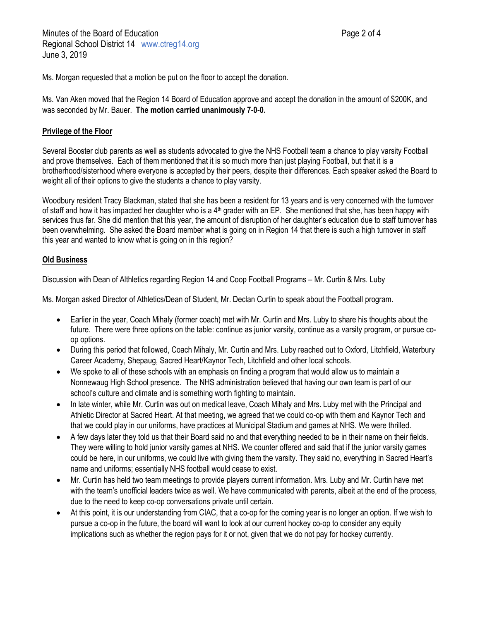Ms. Morgan requested that a motion be put on the floor to accept the donation.

Ms. Van Aken moved that the Region 14 Board of Education approve and accept the donation in the amount of \$200K, and was seconded by Mr. Bauer. **The motion carried unanimously 7-0-0.**

## **Privilege of the Floor**

Several Booster club parents as well as students advocated to give the NHS Football team a chance to play varsity Football and prove themselves. Each of them mentioned that it is so much more than just playing Football, but that it is a brotherhood/sisterhood where everyone is accepted by their peers, despite their differences. Each speaker asked the Board to weight all of their options to give the students a chance to play varsity.

Woodbury resident Tracy Blackman, stated that she has been a resident for 13 years and is very concerned with the turnover of staff and how it has impacted her daughter who is a  $4<sup>th</sup>$  grader with an EP. She mentioned that she, has been happy with services thus far. She did mention that this year, the amount of disruption of her daughter's education due to staff turnover has been overwhelming. She asked the Board member what is going on in Region 14 that there is such a high turnover in staff this year and wanted to know what is going on in this region?

# **Old Business**

Discussion with Dean of Althletics regarding Region 14 and Coop Football Programs – Mr. Curtin & Mrs. Luby

Ms. Morgan asked Director of Athletics/Dean of Student, Mr. Declan Curtin to speak about the Football program.

- Earlier in the year, Coach Mihaly (former coach) met with Mr. Curtin and Mrs. Luby to share his thoughts about the future. There were three options on the table: continue as junior varsity, continue as a varsity program, or pursue coop options.
- During this period that followed, Coach Mihaly, Mr. Curtin and Mrs. Luby reached out to Oxford, Litchfield, Waterbury Career Academy, Shepaug, Sacred Heart/Kaynor Tech, Litchfield and other local schools.
- We spoke to all of these schools with an emphasis on finding a program that would allow us to maintain a Nonnewaug High School presence. The NHS administration believed that having our own team is part of our school's culture and climate and is something worth fighting to maintain.
- In late winter, while Mr. Curtin was out on medical leave, Coach Mihaly and Mrs. Luby met with the Principal and Athletic Director at Sacred Heart. At that meeting, we agreed that we could co-op with them and Kaynor Tech and that we could play in our uniforms, have practices at Municipal Stadium and games at NHS. We were thrilled.
- A few days later they told us that their Board said no and that everything needed to be in their name on their fields. They were willing to hold junior varsity games at NHS. We counter offered and said that if the junior varsity games could be here, in our uniforms, we could live with giving them the varsity. They said no, everything in Sacred Heart's name and uniforms; essentially NHS football would cease to exist.
- Mr. Curtin has held two team meetings to provide players current information. Mrs. Luby and Mr. Curtin have met with the team's unofficial leaders twice as well. We have communicated with parents, albeit at the end of the process, due to the need to keep co-op conversations private until certain.
- At this point, it is our understanding from CIAC, that a co-op for the coming year is no longer an option. If we wish to pursue a co-op in the future, the board will want to look at our current hockey co-op to consider any equity implications such as whether the region pays for it or not, given that we do not pay for hockey currently.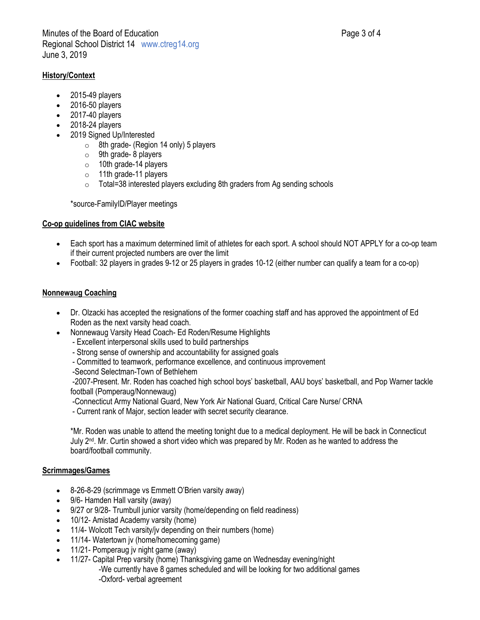# **History/Context**

- 2015-49 players
- 2016-50 players
- 2017-40 players
- 2018-24 players
- 2019 Signed Up/Interested
	- o 8th grade- (Region 14 only) 5 players
	- $\circ$  9th grade- 8 players
	- o 10th grade-14 players
	- o 11th grade-11 players
	- o Total=38 interested players excluding 8th graders from Ag sending schools

\*source-FamilyID/Player meetings

# **Co-op guidelines from CIAC website**

- Each sport has a maximum determined limit of athletes for each sport. A school should NOT APPLY for a co-op team if their current projected numbers are over the limit
- Football: 32 players in grades 9-12 or 25 players in grades 10-12 (either number can qualify a team for a co-op)

# **Nonnewaug Coaching**

- Dr. Olzacki has accepted the resignations of the former coaching staff and has approved the appointment of Ed Roden as the next varsity head coach.
	- Nonnewaug Varsity Head Coach- Ed Roden/Resume Highlights
		- Excellent interpersonal skills used to build partnerships
		- Strong sense of ownership and accountability for assigned goals
		- Committed to teamwork, performance excellence, and continuous improvement
		- -Second Selectman-Town of Bethlehem

-2007-Present. Mr. Roden has coached high school boys' basketball, AAU boys' basketball, and Pop Warner tackle football (Pomperaug/Nonnewaug)

- -Connecticut Army National Guard, New York Air National Guard, Critical Care Nurse/ CRNA
- Current rank of Major, section leader with secret security clearance.

\*Mr. Roden was unable to attend the meeting tonight due to a medical deployment. He will be back in Connecticut July  $2<sup>nd</sup>$ . Mr. Curtin showed a short video which was prepared by Mr. Roden as he wanted to address the board/football community.

# **Scrimmages/Games**

- 8-26-8-29 (scrimmage vs Emmett O'Brien varsity away)
- 9/6- Hamden Hall varsity (away)
- 9/27 or 9/28- Trumbull junior varsity (home/depending on field readiness)
- 10/12- Amistad Academy varsity (home)
- 11/4- Wolcott Tech varsity/jv depending on their numbers (home)
- 11/14- Watertown jv (home/homecoming game)
- 11/21- Pomperaug jv night game (away)
- 11/27- Capital Prep varsity (home) Thanksgiving game on Wednesday evening/night -We currently have 8 games scheduled and will be looking for two additional games -Oxford- verbal agreement